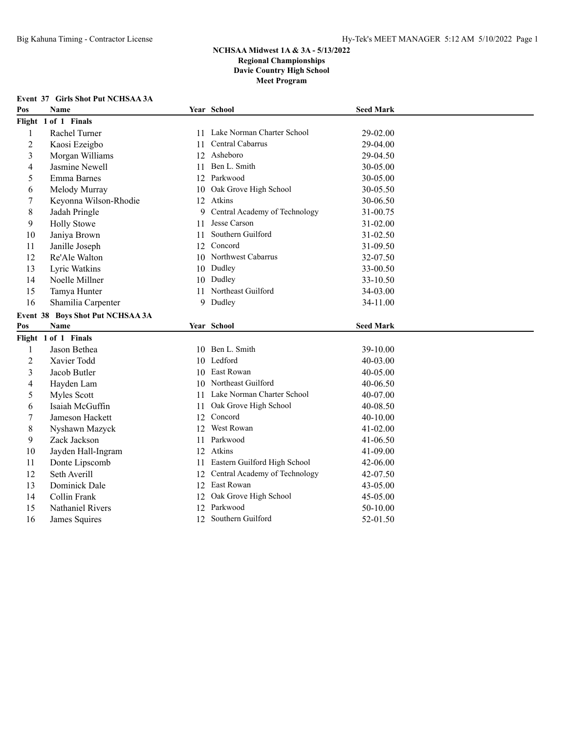**Event 37 Girls Shot Put NCHSAA 3A**

## **NCHSAA Midwest 1A & 3A - 5/13/2022 Regional Championships Davie Country High School Meet Program**

| Pos            | <b>Name</b>                      |    | Year School                      | <b>Seed Mark</b> |
|----------------|----------------------------------|----|----------------------------------|------------------|
|                | Flight 1 of 1 Finals             |    |                                  |                  |
| 1              | Rachel Turner                    |    | 11 Lake Norman Charter School    | 29-02.00         |
| $\overline{2}$ | Kaosi Ezeigbo                    | 11 | Central Cabarrus                 | 29-04.00         |
| 3              | Morgan Williams                  | 12 | Asheboro                         | 29-04.50         |
| 4              | Jasmine Newell                   | 11 | Ben L. Smith                     | 30-05.00         |
| 5              | Emma Barnes                      |    | 12 Parkwood                      | 30-05.00         |
| 6              | Melody Murray                    | 10 | Oak Grove High School            | 30-05.50         |
| 7              | Keyonna Wilson-Rhodie            |    | 12 Atkins                        | 30-06.50         |
| 8              | Jadah Pringle                    | 9  | Central Academy of Technology    | 31-00.75         |
| 9              | <b>Holly Stowe</b>               | 11 | Jesse Carson                     | 31-02.00         |
| 10             | Janiya Brown                     | 11 | Southern Guilford                | 31-02.50         |
| 11             | Janille Joseph                   |    | 12 Concord                       | 31-09.50         |
| 12             | Re'Ale Walton                    |    | 10 Northwest Cabarrus            | 32-07.50         |
| 13             | Lyric Watkins                    |    | 10 Dudley                        | 33-00.50         |
| 14             | Noelle Millner                   |    | 10 Dudley                        | 33-10.50         |
| 15             | Tamya Hunter                     |    | 11 Northeast Guilford            | 34-03.00         |
| 16             | Shamilia Carpenter               |    | 9 Dudley                         | 34-11.00         |
|                | Event 38 Boys Shot Put NCHSAA 3A |    |                                  |                  |
| Pos            | <b>Name</b>                      |    | Year School                      | <b>Seed Mark</b> |
|                | Flight 1 of 1 Finals             |    |                                  |                  |
| $\mathbf{1}$   | Jason Bethea                     |    | 10 Ben L. Smith                  | 39-10.00         |
| $\overline{c}$ | Xavier Todd                      |    | 10 Ledford                       | 40-03.00         |
| 3              | Jacob Butler                     |    | 10 East Rowan                    | 40-05.00         |
| 4              | Hayden Lam                       |    | 10 Northeast Guilford            | 40-06.50         |
| 5              | Myles Scott                      |    | 11 Lake Norman Charter School    | 40-07.00         |
| 6              | Isaiah McGuffin                  | 11 | Oak Grove High School            | 40-08.50         |
| 7              | Jameson Hackett                  |    | 12 Concord                       | 40-10.00         |
| 8              | Nyshawn Mazyck                   | 12 | West Rowan                       | 41-02.00         |
| 9              | Zack Jackson                     | 11 | Parkwood                         | 41-06.50         |
| 10             | Jayden Hall-Ingram               |    | 12 Atkins                        | 41-09.00         |
| 11             | Donte Lipscomb                   |    | 11 Eastern Guilford High School  | 42-06.00         |
| 12             | Seth Averill                     |    | 12 Central Academy of Technology | 42-07.50         |
| 13             | Dominick Dale                    |    | 12 East Rowan                    | 43-05.00         |
| 14             | Collin Frank                     | 12 | Oak Grove High School            | 45-05.00         |
| 15             | Nathaniel Rivers                 |    | 12 Parkwood                      | 50-10.00         |
| 16             | James Squires                    |    | 12 Southern Guilford             | 52-01.50         |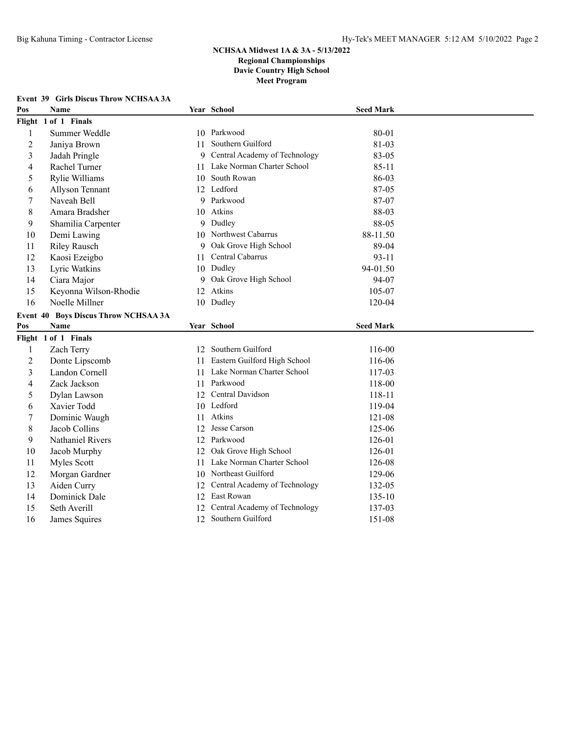|                | Event 39 Girls Discus Throw NCHSAA 3A |     |                                 |                  |
|----------------|---------------------------------------|-----|---------------------------------|------------------|
| Pos            | <b>Name</b>                           |     | Year School                     | <b>Seed Mark</b> |
|                | Flight 1 of 1 Finals                  |     |                                 |                  |
| $\mathbf{1}$   | Summer Weddle                         |     | 10 Parkwood                     | 80-01            |
| $\overline{2}$ | Janiya Brown                          | 11. | Southern Guilford               | 81-03            |
| 3              | Jadah Pringle                         | 9   | Central Academy of Technology   | 83-05            |
| 4              | Rachel Turner                         |     | 11 Lake Norman Charter School   | $85 - 11$        |
| 5              | Rylie Williams                        |     | 10 South Rowan                  | 86-03            |
| 6              | Allyson Tennant                       |     | 12 Ledford                      | 87-05            |
| 7              | Naveah Bell                           |     | 9 Parkwood                      | 87-07            |
| 8              | Amara Bradsher                        |     | 10 Atkins                       | 88-03            |
| 9              | Shamilia Carpenter                    |     | 9 Dudley                        | 88-05            |
| 10             | Demi Lawing                           |     | 10 Northwest Cabarrus           | 88-11.50         |
| 11             | <b>Riley Rausch</b>                   | 9   | Oak Grove High School           | 89-04            |
| 12             | Kaosi Ezeigbo                         | 11  | Central Cabarrus                | $93 - 11$        |
| 13             | Lyric Watkins                         |     | 10 Dudley                       | 94-01.50         |
| 14             | Ciara Major                           | 9   | Oak Grove High School           | 94-07            |
| 15             | Keyonna Wilson-Rhodie                 |     | 12 Atkins                       | 105-07           |
| 16             | Noelle Millner                        |     | 10 Dudley                       | 120-04           |
|                | Event 40 Boys Discus Throw NCHSAA 3A  |     |                                 |                  |
| Pos            | Name                                  |     | Year School                     | <b>Seed Mark</b> |
|                | Flight 1 of 1 Finals                  |     |                                 |                  |
| $\mathbf{1}$   | Zach Terry                            |     | 12 Southern Guilford            | 116-00           |
| $\overline{2}$ | Donte Lipscomb                        |     | 11 Eastern Guilford High School | 116-06           |
| 3              | Landon Cornell                        |     | 11 Lake Norman Charter School   | 117-03           |
| 4              | Zack Jackson                          |     | 11 Parkwood                     | 118-00           |
| 5              | Dylan Lawson                          |     | 12 Central Davidson             | 118-11           |
| 6              | Xavier Todd                           |     | 10 Ledford                      | 119-04           |
| 7              | Dominic Waugh                         |     | 11 Atkins                       | 121-08           |
| 8              | Jacob Collins                         | 12  | Jesse Carson                    | 125-06           |
| 9              | Nathaniel Rivers                      |     | 12 Parkwood                     | 126-01           |
| 10             | Jacob Murphy                          | 12  | Oak Grove High School           | 126-01           |
| 11             | Myles Scott                           | 11  | Lake Norman Charter School      | 126-08           |
| 12             | Morgan Gardner                        | 10  | Northeast Guilford              | 129-06           |
| 13             | Aiden Curry                           | 12  | Central Academy of Technology   | 132-05           |
| 14             | Dominick Dale                         | 12  | East Rowan                      | 135-10           |
| 15             | Seth Averill                          | 12  | Central Academy of Technology   | 137-03           |
| 16             | James Squires                         |     | 12 Southern Guilford            | 151-08           |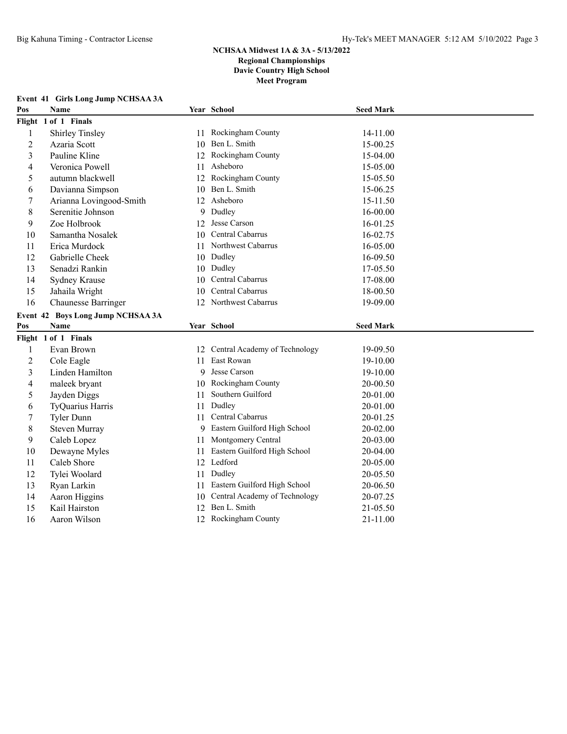| Pos            | Name                              |    | Year School                      | <b>Seed Mark</b> |
|----------------|-----------------------------------|----|----------------------------------|------------------|
|                | Flight 1 of 1 Finals              |    |                                  |                  |
| $\mathbf{1}$   | Shirley Tinsley                   | 11 | Rockingham County                | 14-11.00         |
| $\overline{c}$ | Azaria Scott                      |    | 10 Ben L. Smith                  | 15-00.25         |
| 3              | Pauline Kline                     |    | Rockingham County                | 15-04.00         |
| 4              | Veronica Powell                   | 11 | Asheboro                         | 15-05.00         |
| 5              | autumn blackwell                  | 12 | Rockingham County                | 15-05.50         |
| 6              | Davianna Simpson                  | 10 | Ben L. Smith                     | 15-06.25         |
| 7              | Arianna Lovingood-Smith           | 12 | Asheboro                         | 15-11.50         |
| 8              | Serenitie Johnson                 | 9  | Dudley                           | 16-00.00         |
| 9              | Zoe Holbrook                      | 12 | Jesse Carson                     | 16-01.25         |
| 10             | Samantha Nosalek                  |    | Central Cabarrus                 | 16-02.75         |
| 11             | Erica Murdock                     |    | Northwest Cabarrus               | 16-05.00         |
| 12             | Gabrielle Cheek                   | 10 | Dudley                           | 16-09.50         |
| 13             | Senadzi Rankin                    |    | 10 Dudley                        | 17-05.50         |
| 14             | Sydney Krause                     |    | Central Cabarrus                 | 17-08.00         |
| 15             | Jahaila Wright                    | 10 | Central Cabarrus                 | 18-00.50         |
| 16             | Chaunesse Barringer               | 12 | Northwest Cabarrus               | 19-09.00         |
|                | Event 42 Boys Long Jump NCHSAA 3A |    |                                  |                  |
| Pos            | Name                              |    | Year School                      | <b>Seed Mark</b> |
|                | Flight 1 of 1 Finals              |    |                                  |                  |
| 1              | Evan Brown                        |    | 12 Central Academy of Technology | 19-09.50         |
| $\overline{2}$ | Cole Eagle                        | 11 | East Rowan                       | 19-10.00         |
| 3              | Linden Hamilton                   | 9  | Jesse Carson                     | 19-10.00         |
| 4              | maleek bryant                     | 10 | Rockingham County                | 20-00.50         |
| 5              | Jayden Diggs                      | 11 | Southern Guilford                | 20-01.00         |
| 6              | TyQuarius Harris                  | 11 | Dudley                           | 20-01.00         |
| 7              | Tyler Dunn                        | 11 | Central Cabarrus                 | 20-01.25         |
| 8              | Steven Murray                     | 9  | Eastern Guilford High School     | 20-02.00         |
| 9              | Caleb Lopez                       | 11 | Montgomery Central               | 20-03.00         |
| 10             | Dewayne Myles                     | 11 | Eastern Guilford High School     | 20-04.00         |
| 11             | Caleb Shore                       |    | 12 Ledford                       | 20-05.00         |
| 12             | Tylei Woolard                     | 11 | Dudley                           | 20-05.50         |
| 13             | Ryan Larkin                       | 11 | Eastern Guilford High School     | 20-06.50         |
| 14             | Aaron Higgins                     |    | 10 Central Academy of Technology | 20-07.25         |
| 15             | Kail Hairston                     | 12 | Ben L. Smith                     | 21-05.50         |
| 16             | Aaron Wilson                      |    | 12 Rockingham County             | 21-11.00         |

### **Event 41 Girls Long Jump NCHSAA 3A**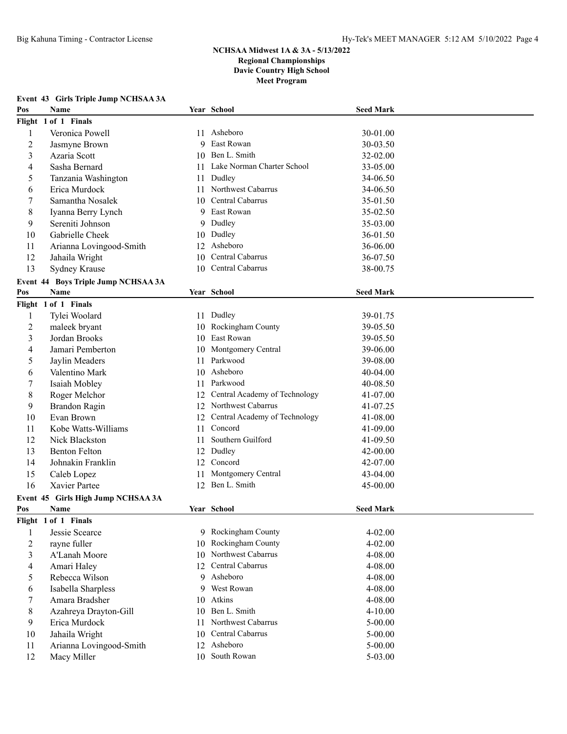#### **Event 43 Girls Triple Jump NCHSAA 3A**

| Pos            | Name                                       |    | Year School                               | <b>Seed Mark</b> |  |
|----------------|--------------------------------------------|----|-------------------------------------------|------------------|--|
|                | Flight 1 of 1 Finals                       |    |                                           |                  |  |
| 1              | Veronica Powell                            |    | 11 Asheboro                               | 30-01.00         |  |
| $\overline{2}$ | Jasmyne Brown                              |    | 9 East Rowan                              | 30-03.50         |  |
| 3              | Azaria Scott                               |    | 10 Ben L. Smith                           | 32-02.00         |  |
| 4              | Sasha Bernard                              | 11 | Lake Norman Charter School                | 33-05.00         |  |
| 5              | Tanzania Washington                        | 11 | Dudley                                    | 34-06.50         |  |
| 6              | Erica Murdock                              | 11 | Northwest Cabarrus                        | 34-06.50         |  |
| 7              | Samantha Nosalek                           | 10 | Central Cabarrus                          | 35-01.50         |  |
| 8              | Iyanna Berry Lynch                         | 9  | East Rowan                                | 35-02.50         |  |
| 9              | Sereniti Johnson                           | 9  | Dudley                                    | 35-03.00         |  |
| 10             | Gabrielle Cheek                            | 10 | Dudley                                    | 36-01.50         |  |
| 11             | Arianna Lovingood-Smith                    | 12 | Asheboro                                  | 36-06.00         |  |
| 12             | Jahaila Wright                             | 10 | Central Cabarrus                          | 36-07.50         |  |
| 13             | Sydney Krause                              |    | 10 Central Cabarrus                       | 38-00.75         |  |
|                | Event 44 Boys Triple Jump NCHSAA 3A        |    |                                           |                  |  |
| Pos            | Name                                       |    | Year School                               | <b>Seed Mark</b> |  |
|                | Flight 1 of 1 Finals                       |    |                                           |                  |  |
| 1              | Tylei Woolard                              |    | 11 Dudley                                 | 39-01.75         |  |
| $\overline{c}$ | maleek bryant                              |    | 10 Rockingham County                      | 39-05.50         |  |
| 3              | Jordan Brooks                              |    | 10 East Rowan                             | 39-05.50         |  |
| 4              | Jamari Pemberton                           |    | 10 Montgomery Central                     | 39-06.00         |  |
| 5              | Jaylin Meaders                             | 11 | Parkwood                                  | 39-08.00         |  |
| 6              | Valentino Mark                             |    | 10 Asheboro                               | 40-04.00         |  |
| 7              | Isaiah Mobley                              | 11 | Parkwood                                  | 40-08.50         |  |
| 8              | Roger Melchor                              | 12 | Central Academy of Technology             | 41-07.00         |  |
| 9              | Brandon Ragin                              |    | 12 Northwest Cabarrus                     | 41-07.25         |  |
| 10             | Evan Brown                                 | 12 | Central Academy of Technology             | 41-08.00         |  |
| 11             | Kobe Watts-Williams                        | 11 | Concord                                   | 41-09.00         |  |
| 12             | Nick Blackston                             | 11 | Southern Guilford                         | 41-09.50         |  |
| 13             | <b>Benton Felton</b>                       | 12 | Dudley                                    | 42-00.00         |  |
| 14             | Johnakin Franklin                          | 12 | Concord                                   | 42-07.00         |  |
| 15             | Caleb Lopez                                | 11 | Montgomery Central                        | 43-04.00         |  |
| 16             | Xavier Partee                              | 12 | Ben L. Smith                              | 45-00.00         |  |
|                |                                            |    |                                           |                  |  |
| Pos            | Event 45 Girls High Jump NCHSAA 3A<br>Name |    | Year School                               | <b>Seed Mark</b> |  |
|                | Flight 1 of 1 Finals                       |    |                                           |                  |  |
| 1              | Jessie Scearce                             |    | 9 Rockingham County                       | 4-02.00          |  |
| $\overline{2}$ | rayne fuller                               |    | 10 Rockingham County                      | 4-02.00          |  |
| $\mathfrak{Z}$ | A'Lanah Moore                              |    | 10 Northwest Cabarrus                     | 4-08.00          |  |
|                |                                            |    | 12 Central Cabarrus                       | 4-08.00          |  |
| 4              | Amari Haley<br>Rebecca Wilson              |    | 9 Asheboro                                |                  |  |
| 5              |                                            |    | 9 West Rowan                              | 4-08.00          |  |
| 6              | Isabella Sharpless                         |    | 10 Atkins                                 | 4-08.00          |  |
| 7              | Amara Bradsher                             |    |                                           | 4-08.00          |  |
| 8              | Azahreya Drayton-Gill                      |    | 10 Ben L. Smith                           | $4 - 10.00$      |  |
| 9              | Erica Murdock                              | 11 | Northwest Cabarrus<br>10 Central Cabarrus | 5-00.00          |  |
| $10\,$         | Jahaila Wright                             |    | 12 Asheboro                               | 5-00.00          |  |
| 11             | Arianna Lovingood-Smith                    |    | 10 South Rowan                            | 5-00.00          |  |
| 12             | Macy Miller                                |    |                                           | 5-03.00          |  |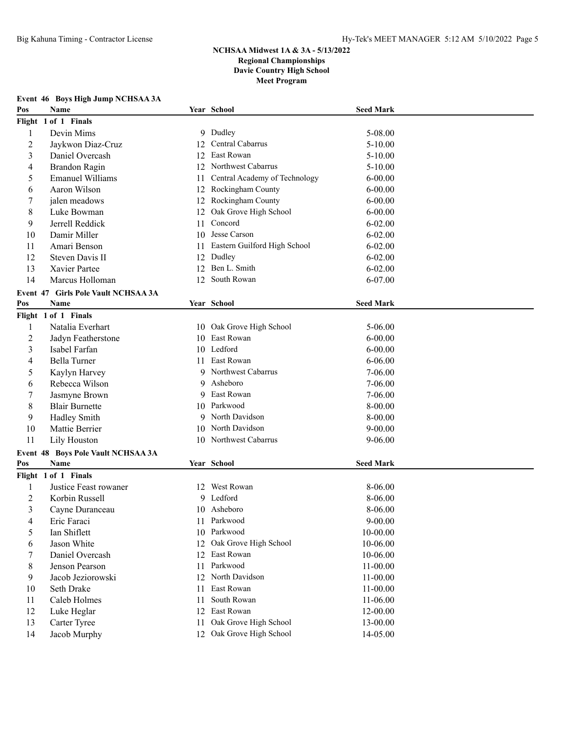| Pos | Name                                |     | Year School                   | <b>Seed Mark</b> |
|-----|-------------------------------------|-----|-------------------------------|------------------|
|     | Flight 1 of 1 Finals                |     |                               |                  |
| 1   | Devin Mims                          |     | 9 Dudley                      | 5-08.00          |
| 2   | Jaykwon Diaz-Cruz                   | 12  | Central Cabarrus              | $5 - 10.00$      |
| 3   | Daniel Overcash                     | 12  | East Rowan                    | $5 - 10.00$      |
| 4   | Brandon Ragin                       |     | 12 Northwest Cabarrus         | $5 - 10.00$      |
| 5   | <b>Emanuel Williams</b>             | 11  | Central Academy of Technology | $6 - 00.00$      |
| 6   | Aaron Wilson                        |     | 12 Rockingham County          | $6 - 00.00$      |
| 7   | jalen meadows                       |     | 12 Rockingham County          | $6 - 00.00$      |
| 8   | Luke Bowman                         | 12  | Oak Grove High School         | $6 - 00.00$      |
| 9   | Jerrell Reddick                     | 11  | Concord                       | $6 - 02.00$      |
| 10  | Damir Miller                        | 10  | Jesse Carson                  | $6 - 02.00$      |
| 11  | Amari Benson                        | 11  | Eastern Guilford High School  | $6 - 02.00$      |
| 12  | Steven Davis II                     | 12  | Dudley                        | $6 - 02.00$      |
| 13  | Xavier Partee                       | 12  | Ben L. Smith                  | $6 - 02.00$      |
| 14  | Marcus Holloman                     | 12  | South Rowan                   | 6-07.00          |
|     | Event 47 Girls Pole Vault NCHSAA 3A |     |                               |                  |
| Pos | Name                                |     | Year School                   | <b>Seed Mark</b> |
|     | Flight 1 of 1 Finals                |     |                               |                  |
| 1   | Natalia Everhart                    |     | 10 Oak Grove High School      | 5-06.00          |
| 2   | Jadyn Featherstone                  | 10  | East Rowan                    | $6 - 00.00$      |
| 3   | Isabel Farfan                       | 10  | Ledford                       | $6 - 00.00$      |
| 4   | Bella Turner                        | 11. | East Rowan                    | $6 - 06.00$      |
| 5   | Kaylyn Harvey                       | 9   | Northwest Cabarrus            | 7-06.00          |
| 6   | Rebecca Wilson                      | 9   | Asheboro                      | $7 - 06.00$      |
| 7   | Jasmyne Brown                       | 9   | East Rowan                    | 7-06.00          |
| 8   | <b>Blair Burnette</b>               | 10  | Parkwood                      | 8-00.00          |
| 9   | Hadley Smith                        | 9.  | North Davidson                | 8-00.00          |
| 10  | Mattie Berrier                      | 10  | North Davidson                | $9 - 00.00$      |
| 11  | Lily Houston                        |     | 10 Northwest Cabarrus         | $9 - 06.00$      |
|     | Event 48 Boys Pole Vault NCHSAA 3A  |     |                               |                  |
| Pos | Name                                |     | Year School                   | <b>Seed Mark</b> |
|     | Flight 1 of 1 Finals                |     |                               |                  |
| 1   | Justice Feast rowaner               |     | 12 West Rowan                 | 8-06.00          |
| 2   | Korbin Russell                      |     | 9 Ledford                     | 8-06.00          |
| 3   | Cayne Duranceau                     |     | 10 Asheboro                   | 8-06.00          |
| 4   | Eric Faraci                         |     | 11 Parkwood                   | $9 - 00.00$      |
| 5   | Ian Shiflett                        | 10  | Parkwood                      | 10-00.00         |
| 6   | Jason White                         | 12  | Oak Grove High School         | 10-06.00         |
| 7   | Daniel Overcash                     | 12  | East Rowan                    | 10-06.00         |
| 8   | Jenson Pearson                      | 11  | Parkwood                      | 11-00.00         |
| 9   | Jacob Jeziorowski                   | 12  | North Davidson                | 11-00.00         |
| 10  | Seth Drake                          | 11  | East Rowan                    | 11-00.00         |
| 11  | Caleb Holmes                        | 11  | South Rowan                   | 11-06.00         |
| 12  | Luke Heglar                         | 12  | East Rowan                    | 12-00.00         |
| 13  | Carter Tyree                        | 11  | Oak Grove High School         | 13-00.00         |
| 14  | Jacob Murphy                        |     | 12 Oak Grove High School      | 14-05.00         |

## **Event 46 Boys High Jump NCHSAA 3A**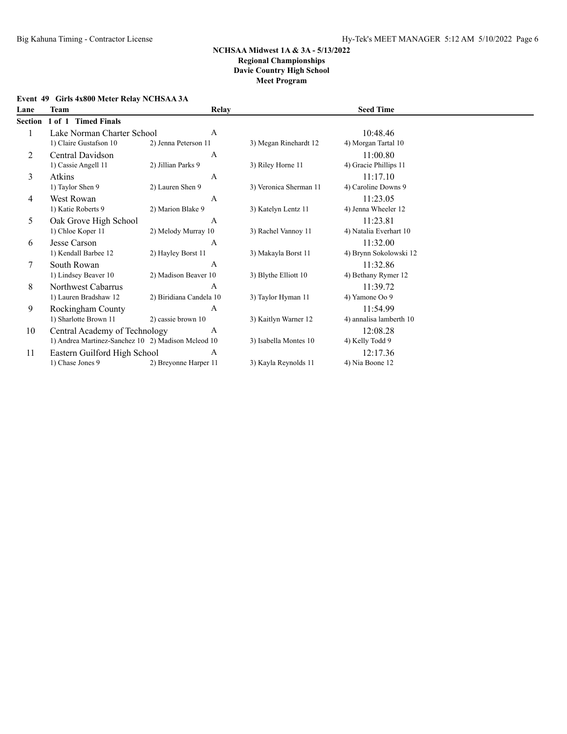## **Event 49 Girls 4x800 Meter Relay NCHSAA 3A**

| Lane    | Team                                               | <b>Relay</b>            |                        | <b>Seed Time</b>        |  |
|---------|----------------------------------------------------|-------------------------|------------------------|-------------------------|--|
| Section | 1 of 1 Timed Finals                                |                         |                        |                         |  |
|         | Lake Norman Charter School                         | A                       |                        | 10:48.46                |  |
|         | 1) Claire Gustafson 10                             | 2) Jenna Peterson 11    | 3) Megan Rinehardt 12  | 4) Morgan Tartal 10     |  |
| 2       | Central Davidson                                   | A                       |                        | 11:00.80                |  |
|         | 1) Cassie Angell 11                                | 2) Jillian Parks 9      | 3) Riley Horne 11      | 4) Gracie Phillips 11   |  |
| 3       | Atkins                                             | A                       |                        | 11:17.10                |  |
|         | 1) Taylor Shen 9                                   | 2) Lauren Shen 9        | 3) Veronica Sherman 11 | 4) Caroline Downs 9     |  |
| 4       | West Rowan                                         | A                       |                        | 11:23.05                |  |
|         | 1) Katie Roberts 9                                 | 2) Marion Blake 9       | 3) Katelyn Lentz 11    | 4) Jenna Wheeler 12     |  |
| 5       | Oak Grove High School                              | A                       |                        | 11:23.81                |  |
|         | 1) Chloe Koper 11                                  | 2) Melody Murray 10     | 3) Rachel Vannoy 11    | 4) Natalia Everhart 10  |  |
| 6       | Jesse Carson                                       | $\overline{A}$          |                        | 11:32.00                |  |
|         | 1) Kendall Barbee 12                               | 2) Hayley Borst 11      | 3) Makayla Borst 11    | 4) Brynn Sokolowski 12  |  |
| 7       | South Rowan                                        | A                       |                        | 11:32.86                |  |
|         | 1) Lindsey Beaver 10                               | 2) Madison Beaver 10    | 3) Blythe Elliott 10   | 4) Bethany Rymer 12     |  |
| 8       | Northwest Cabarrus                                 | A                       |                        | 11:39.72                |  |
|         | 1) Lauren Bradshaw 12                              | 2) Biridiana Candela 10 | 3) Taylor Hyman 11     | 4) Yamone Oo 9          |  |
| 9       | Rockingham County                                  | A                       |                        | 11:54.99                |  |
|         | 1) Sharlotte Brown 11                              | 2) cassie brown 10      | 3) Kaitlyn Warner 12   | 4) annalisa lamberth 10 |  |
| 10      | Central Academy of Technology                      | А                       |                        | 12:08.28                |  |
|         | 1) Andrea Martinez-Sanchez 10 2) Madison Mcleod 10 |                         | 3) Isabella Montes 10  | 4) Kelly Todd 9         |  |
| 11      | Eastern Guilford High School                       | А                       |                        | 12:17.36                |  |
|         | 1) Chase Jones 9                                   | 2) Breyonne Harper 11   | 3) Kayla Reynolds 11   | 4) Nia Boone 12         |  |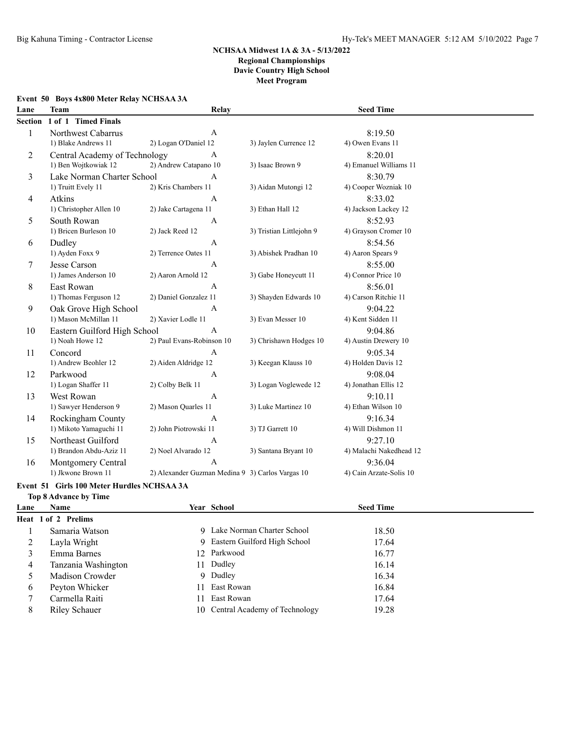### **Event 50 Boys 4x800 Meter Relay NCHSAA 3A**

| Lane         | <b>Team</b>                   | Relay                                            |                          | <b>Seed Time</b>        |  |
|--------------|-------------------------------|--------------------------------------------------|--------------------------|-------------------------|--|
| Section      | 1 of 1 Timed Finals           |                                                  |                          |                         |  |
| $\mathbf{1}$ | Northwest Cabarrus            | A                                                |                          | 8:19.50                 |  |
|              | 1) Blake Andrews 11           | 2) Logan O'Daniel 12                             | 3) Jaylen Currence 12    | 4) Owen Evans 11        |  |
| 2            | Central Academy of Technology | $\mathbf{A}$                                     |                          | 8:20.01                 |  |
|              | 1) Ben Wojtkowiak 12          | 2) Andrew Catapano 10                            | 3) Isaac Brown 9         | 4) Emanuel Williams 11  |  |
| 3            | Lake Norman Charter School    | A                                                |                          | 8:30.79                 |  |
|              | 1) Truitt Evely 11            | 2) Kris Chambers 11                              | 3) Aidan Mutongi 12      | 4) Cooper Wozniak 10    |  |
| 4            | Atkins                        | A                                                |                          | 8:33.02                 |  |
|              | 1) Christopher Allen 10       | 2) Jake Cartagena 11                             | 3) Ethan Hall 12         | 4) Jackson Lackey 12    |  |
| 5            | South Rowan                   | $\mathbf{A}$                                     |                          | 8:52.93                 |  |
|              | 1) Bricen Burleson 10         | 2) Jack Reed 12                                  | 3) Tristian Littlejohn 9 | 4) Grayson Cromer 10    |  |
| 6            | Dudley                        | $\mathbf{A}$                                     |                          | 8:54.56                 |  |
|              | 1) Ayden Foxx 9               | 2) Terrence Oates 11                             | 3) Abishek Pradhan 10    | 4) Aaron Spears 9       |  |
| 7            | Jesse Carson                  | $\mathbf{A}$                                     |                          | 8:55.00                 |  |
|              | 1) James Anderson 10          | 2) Aaron Arnold 12                               | 3) Gabe Honeycutt 11     | 4) Connor Price 10      |  |
| 8            | <b>East Rowan</b>             | A                                                |                          | 8:56.01                 |  |
|              | 1) Thomas Ferguson 12         | 2) Daniel Gonzalez 11                            | 3) Shayden Edwards 10    | 4) Carson Ritchie 11    |  |
| 9            | Oak Grove High School         | $\mathbf{A}$                                     |                          | 9:04.22                 |  |
|              | 1) Mason McMillan 11          | 2) Xavier Lodle 11                               | 3) Evan Messer 10        | 4) Kent Sidden 11       |  |
| 10           | Eastern Guilford High School  | $\mathbf{A}$                                     |                          | 9:04.86                 |  |
|              | 1) Noah Howe 12               | 2) Paul Evans-Robinson 10                        | 3) Chrishawn Hodges 10   | 4) Austin Drewery 10    |  |
| 11           | Concord                       | $\mathbf{A}$                                     |                          | 9:05.34                 |  |
|              | 1) Andrew Beohler 12          | 2) Aiden Aldridge 12                             | 3) Keegan Klauss 10      | 4) Holden Davis 12      |  |
| 12           | Parkwood                      | $\mathbf{A}$                                     |                          | 9:08.04                 |  |
|              | 1) Logan Shaffer 11           | 2) Colby Belk 11                                 | 3) Logan Voglewede 12    | 4) Jonathan Ellis 12    |  |
| 13           | West Rowan                    | $\mathbf{A}$                                     |                          | 9:10.11                 |  |
|              | 1) Sawyer Henderson 9         | 2) Mason Quarles 11                              | 3) Luke Martinez 10      | 4) Ethan Wilson 10      |  |
| 14           | Rockingham County             | $\mathbf{A}$                                     |                          | 9:16.34                 |  |
|              | 1) Mikoto Yamaguchi 11        | 2) John Piotrowski 11                            | 3) TJ Garrett 10         | 4) Will Dishmon 11      |  |
| 15           | Northeast Guilford            | $\mathbf{A}$                                     |                          | 9:27.10                 |  |
|              | 1) Brandon Abdu-Aziz 11       | 2) Noel Alvarado 12                              | 3) Santana Bryant 10     | 4) Malachi Nakedhead 12 |  |
| 16           | Montgomery Central            | A                                                |                          | 9:36.04                 |  |
|              | 1) Jkwone Brown 11            | 2) Alexander Guzman Medina 9 3) Carlos Vargas 10 |                          | 4) Cain Arzate-Solis 10 |  |

### **Event 51 Girls 100 Meter Hurdles NCHSAA 3A Top 8 Advance by Time**

| Lane | Name                | <b>Year School</b>               | <b>Seed Time</b> |  |
|------|---------------------|----------------------------------|------------------|--|
|      | Heat 1 of 2 Prelims |                                  |                  |  |
|      | Samaria Watson      | 9 Lake Norman Charter School     | 18.50            |  |
| 2    | Layla Wright        | 9 Eastern Guilford High School   | 17.64            |  |
|      | Emma Barnes         | 12 Parkwood                      | 16.77            |  |
| 4    | Tanzania Washington | 11 Dudley                        | 16.14            |  |
|      | Madison Crowder     | 9 Dudley                         | 16.34            |  |
| 6    | Peyton Whicker      | 11 East Rowan                    | 16.84            |  |
|      | Carmella Raiti      | 11 East Rowan                    | 17.64            |  |
| 8    | Riley Schauer       | 10 Central Academy of Technology | 19.28            |  |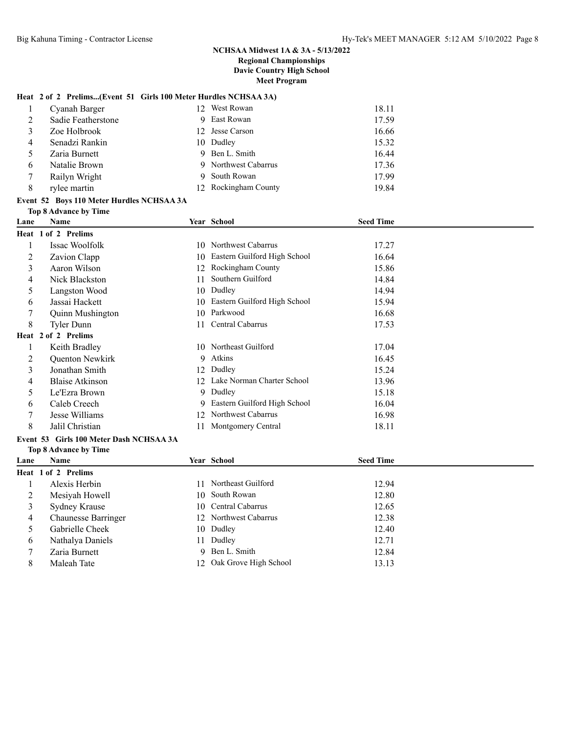#### **Heat 2 of 2 Prelims...(Event 51 Girls 100 Meter Hurdles NCHSAA 3A)**

|   | Cyanah Barger      | -12. | West Rowan           | 18.11 |
|---|--------------------|------|----------------------|-------|
| 2 | Sadie Featherstone | 9    | East Rowan           | 17.59 |
|   | Zoe Holbrook       | 12.  | Jesse Carson         | 16.66 |
| 4 | Senadzi Rankin     |      | 10 Dudley            | 15.32 |
|   | Zaria Burnett      | 9    | Ben L. Smith         | 16.44 |
| 6 | Natalie Brown      |      | 9 Northwest Cabarrus | 17.36 |
|   | Railyn Wright      | 9    | South Rowan          | 17.99 |
| 8 | rylee martin       |      | 12 Rockingham County | 19.84 |

 Chaunesse Barringer 12 Northwest Cabarrus 12.38 Gabrielle Cheek 10 Dudley 12.40 Nathalya Daniels 11 Dudley 12.71 Zaria Burnett 9 Ben L. Smith 12.84 8 Maleah Tate 12 Oak Grove High School 13.13

## **Event 52 Boys 110 Meter Hurdles NCHSAA 3A**

|      | <b>Top 8 Advance by Time</b>            |    |                              |                  |  |
|------|-----------------------------------------|----|------------------------------|------------------|--|
| Lane | <b>Name</b>                             |    | Year School                  | <b>Seed Time</b> |  |
|      | Heat 1 of 2 Prelims                     |    |                              |                  |  |
|      | Issac Woolfolk                          | 10 | Northwest Cabarrus           | 17.27            |  |
| 2    | Zavion Clapp                            | 10 | Eastern Guilford High School | 16.64            |  |
| 3    | Aaron Wilson                            | 12 | Rockingham County            | 15.86            |  |
| 4    | Nick Blackston                          | 11 | Southern Guilford            | 14.84            |  |
| 5    | Langston Wood                           | 10 | Dudley                       | 14.94            |  |
| 6    | Jassai Hackett                          | 10 | Eastern Guilford High School | 15.94            |  |
| 7    | Quinn Mushington                        | 10 | Parkwood                     | 16.68            |  |
| 8    | <b>Tyler Dunn</b>                       | 11 | Central Cabarrus             | 17.53            |  |
|      | Heat 2 of 2 Prelims                     |    |                              |                  |  |
|      | Keith Bradley                           |    | 10 Northeast Guilford        | 17.04            |  |
| 2    | Quenton Newkirk                         | 9  | Atkins                       | 16.45            |  |
| 3    | Jonathan Smith                          | 12 | Dudley                       | 15.24            |  |
| 4    | <b>Blaise Atkinson</b>                  | 12 | Lake Norman Charter School   | 13.96            |  |
| 5    | Le'Ezra Brown                           | 9  | Dudley                       | 15.18            |  |
| 6    | Caleb Creech                            | 9  | Eastern Guilford High School | 16.04            |  |
| 7    | Jesse Williams                          | 12 | Northwest Cabarrus           | 16.98            |  |
| 8    | Jalil Christian                         | 11 | Montgomery Central           | 18.11            |  |
|      | Event 53 Girls 100 Meter Dash NCHSAA 3A |    |                              |                  |  |
|      | Top 8 Advance by Time                   |    |                              |                  |  |
| Lane | <b>Name</b>                             |    | Year School                  | <b>Seed Time</b> |  |
|      | Heat 1 of 2 Prelims                     |    |                              |                  |  |
|      | Alexis Herbin                           | 11 | Northeast Guilford           | 12.94            |  |
| 2    | Mesiyah Howell                          | 10 | South Rowan                  | 12.80            |  |
| 3    | Sydney Krause                           | 10 | Central Cabarrus             | 12.65            |  |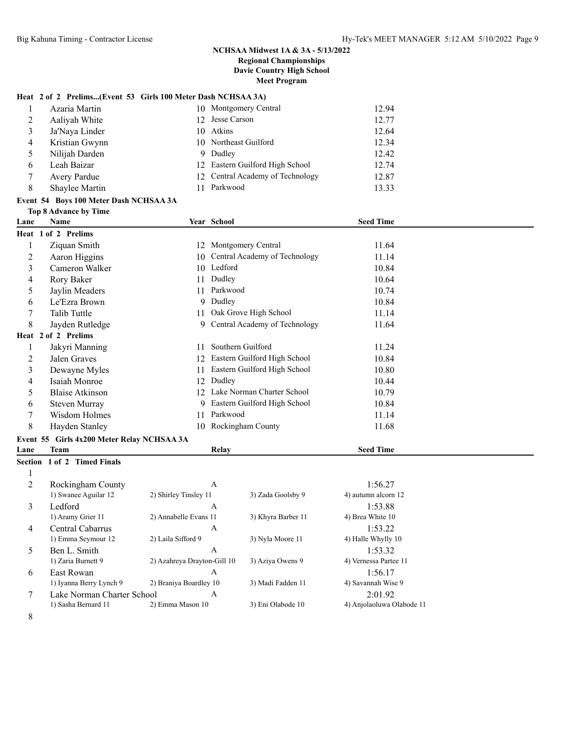## **Heat 2 of 2 Prelims...(Event 53 Girls 100 Meter Dash NCHSAA 3A)**

|                | Azaria Martin  |    | 10 Montgomery Central            | 12.94 |
|----------------|----------------|----|----------------------------------|-------|
| 2              | Aaliyah White  |    | 12 Jesse Carson                  | 12.77 |
| 3              | Ja'Naya Linder |    | 10 Atkins                        | 12.64 |
| $\overline{4}$ | Kristian Gwynn |    | 10 Northeast Guilford            | 12.34 |
| -5             | Nilijah Darden | 9. | Dudley                           | 12.42 |
| 6              | Leah Baizar    |    | 12 Eastern Guilford High School  | 12.74 |
|                | Avery Pardue   |    | 12 Central Academy of Technology | 12.87 |
| 8              | Shaylee Martin |    | Parkwood                         | 13.33 |

#### **Event 54 Boys 100 Meter Dash NCHSAA 3A**

|      | Event 54 Boys 100 Meter Dash NCHSAA 3A     |    |                                  |                  |
|------|--------------------------------------------|----|----------------------------------|------------------|
|      | Top 8 Advance by Time                      |    |                                  |                  |
| Lane | <b>Name</b>                                |    | Year School                      | <b>Seed Time</b> |
|      | Heat 1 of 2 Prelims                        |    |                                  |                  |
| 1    | Ziquan Smith                               |    | 12 Montgomery Central            | 11.64            |
| 2    | Aaron Higgins                              |    | 10 Central Academy of Technology | 11.14            |
| 3    | Cameron Walker                             |    | 10 Ledford                       | 10.84            |
| 4    | Rory Baker                                 | 11 | Dudley                           | 10.64            |
| 5    | Jaylin Meaders                             | 11 | Parkwood                         | 10.74            |
| 6    | Le'Ezra Brown                              | 9  | Dudley                           | 10.84            |
|      | Talib Tuttle                               | 11 | Oak Grove High School            | 11.14            |
| 8    | Jayden Rutledge                            |    | 9 Central Academy of Technology  | 11.64            |
|      | Heat 2 of 2 Prelims                        |    |                                  |                  |
| 1    | Jakyri Manning                             | 11 | Southern Guilford                | 11.24            |
| 2    | Jalen Graves                               | 12 | Eastern Guilford High School     | 10.84            |
| 3    | Dewayne Myles                              | 11 | Eastern Guilford High School     | 10.80            |
| 4    | Isaiah Monroe                              | 12 | Dudley                           | 10.44            |
| 5    | <b>Blaise Atkinson</b>                     | 12 | Lake Norman Charter School       | 10.79            |
| 6    | Steven Murray                              | 9  | Eastern Guilford High School     | 10.84            |
|      | Wisdom Holmes                              | 11 | Parkwood                         | 11.14            |
| 8    | Hayden Stanley                             |    | 10 Rockingham County             | 11.68            |
|      | Event 55 Girls 4x200 Meter Relay NCHSAA 3A |    |                                  |                  |
| Lane | <b>Team</b>                                |    | Relay                            | <b>Seed Time</b> |
|      | Section 1 of 2 Timed Finals                |    |                                  |                  |
|      |                                            |    |                                  |                  |
|      |                                            |    |                                  |                  |

| 2              | Rockingham County          | A                           |                    | 1:56.27                   |
|----------------|----------------------------|-----------------------------|--------------------|---------------------------|
|                | 1) Swanee Aguilar 12       | 2) Shirley Tinsley 11       | 3) Zada Goolsby 9  | 4) autumn alcorn 12       |
| 3              | Ledford                    | A                           |                    | 1:53.88                   |
|                | 1) Aramy Grier 11          | 2) Annabelle Evans 11       | 3) Khyra Barber 11 | 4) Brea White 10          |
| $\overline{4}$ | Central Cabarrus           | A                           |                    | 1:53.22                   |
|                | 1) Emma Seymour 12         | 2) Laila Sifford 9          | 3) Nyla Moore 11   | 4) Halle Whylly 10        |
| 5              | Ben L. Smith               | A                           |                    | 1:53.32                   |
|                | 1) Zaria Burnett 9         | 2) Azahreya Drayton-Gill 10 | 3) Aziya Owens 9   | 4) Vernessa Partee 11     |
| 6              | East Rowan                 | A                           |                    | 1:56.17                   |
|                | 1) Iyanna Berry Lynch 9    | 2) Braniya Boardley 10      | 3) Madi Fadden 11  | 4) Savannah Wise 9        |
|                | Lake Norman Charter School | A                           |                    | 2:01.92                   |
|                | 1) Sasha Bernard 11        | 2) Emma Mason 10            | 3) Eni Olabode 10  | 4) Anjolaoluwa Olabode 11 |
| 8              |                            |                             |                    |                           |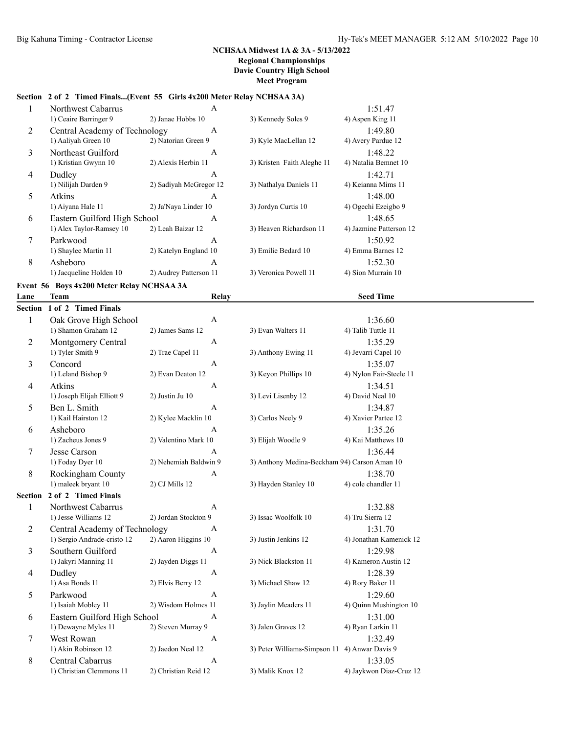## **Section 2 of 2 Timed Finals...(Event 55 Girls 4x200 Meter Relay NCHSAA 3A)**

| 1              | Northwest Cabarrus                        | $\mathbf{A}$           |                            | 1:51.47                 |  |
|----------------|-------------------------------------------|------------------------|----------------------------|-------------------------|--|
|                | 1) Ceaire Barringer 9                     | 2) Janae Hobbs 10      | 3) Kennedy Soles 9         | 4) Aspen King 11        |  |
| 2              | Central Academy of Technology             | $\mathbf{A}$           |                            | 1:49.80                 |  |
|                | 1) Aaliyah Green 10                       | 2) Natorian Green 9    | 3) Kyle MacLellan 12       | 4) Avery Pardue 12      |  |
| 3              | Northeast Guilford                        | A                      |                            | 1:48.22                 |  |
|                | 1) Kristian Gwynn 10                      | 2) Alexis Herbin 11    | 3) Kristen Faith Aleghe 11 | 4) Natalia Bemnet 10    |  |
| 4              | Dudley                                    | $\mathbf{A}$           |                            | 1:42.71                 |  |
|                | 1) Nilijah Darden 9                       | 2) Sadiyah McGregor 12 | 3) Nathalya Daniels 11     | 4) Keianna Mims 11      |  |
| 5              | Atkins                                    | A                      |                            | 1:48.00                 |  |
|                | 1) Aiyana Hale 11                         | 2) Ja'Naya Linder 10   | 3) Jordyn Curtis 10        | 4) Ogechi Ezeigbo 9     |  |
| 6              | Eastern Guilford High School              | $\mathsf{A}$           |                            | 1:48.65                 |  |
|                | 1) Alex Taylor-Ramsey 10                  | 2) Leah Baizar 12      | 3) Heaven Richardson 11    | 4) Jazmine Patterson 12 |  |
| 7              | Parkwood                                  | $\mathbf{A}$           |                            | 1:50.92                 |  |
|                | 1) Shaylee Martin 11                      | 2) Katelyn England 10  | 3) Emilie Bedard 10        | 4) Emma Barnes 12       |  |
| 8              | Asheboro                                  | A                      |                            | 1:52.30                 |  |
|                | 1) Jacqueline Holden 10                   | 2) Audrey Patterson 11 | 3) Veronica Powell 11      | 4) Sion Murrain 10      |  |
|                | Event 56 Boys 4x200 Meter Relay NCHSAA 3A |                        |                            |                         |  |
| Lane           | Team                                      | Relay                  |                            | <b>Seed Time</b>        |  |
| <b>Section</b> | 1 of 2 Timed Finals                       |                        |                            |                         |  |
| 1              | Oak Grove High School                     | A                      |                            | 1:36.60                 |  |
|                | 1) Shamon Graham 12                       | 2) James Sams 12       | 3) Evan Walters 11         | 4) Talib Tuttle 11      |  |
| 2              | Montgomery Central                        | $\mathbf{A}$           |                            | 1:35.29                 |  |
|                | 1) Tyler Smith 9                          | 2) Trae Capel 11       | 3) Anthony Ewing 11        | 4) Jevarri Capel 10     |  |
| 3              | Concord                                   | $\mathsf{A}$           |                            | 1:35.07                 |  |
|                | 1) Leland Bishop 9                        | 2) Evan Deaton 12      | 3) Keyon Phillips 10       | 4) Nylon Fair-Steele 11 |  |
| $\overline{4}$ | <b>Atkins</b>                             | $\mathbf{A}$           |                            | 1:34.51                 |  |
|                | 1) Joseph Elijah Elliott 9                | 2) Justin Ju 10        | 3) Levi Lisenby 12         | 4) David Neal 10        |  |
| 5              | Ben L. Smith                              | A                      |                            | 1:34.87                 |  |
|                | 1) Kail Hairston 12                       | 2) Kylee Macklin 10    | 3) Carlos Neely 9          | 4) Xavier Partee 12     |  |

| ◡              | рен е, онниг                  |                       |                                               | 1.97.07                 |
|----------------|-------------------------------|-----------------------|-----------------------------------------------|-------------------------|
|                | 1) Kail Hairston 12           | 2) Kylee Macklin 10   | 3) Carlos Neely 9                             | 4) Xavier Partee 12     |
| 6              | Asheboro                      | $\overline{A}$        |                                               | 1:35.26                 |
|                | 1) Zacheus Jones 9            | 2) Valentino Mark 10  | 3) Elijah Woodle 9                            | 4) Kai Matthews 10      |
| 7              | Jesse Carson                  | $\mathbf{A}$          |                                               | 1:36.44                 |
|                | 1) Foday Dyer 10              | 2) Nehemiah Baldwin 9 | 3) Anthony Medina-Beckham 94) Carson Aman 10  |                         |
| 8              | Rockingham County             | $\mathbf{A}$          |                                               | 1:38.70                 |
|                | 1) maleek bryant 10           | 2) CJ Mills 12        | 3) Hayden Stanley 10                          | 4) cole chandler 11     |
| <b>Section</b> | 2 of 2 Timed Finals           |                       |                                               |                         |
| 1              | Northwest Cabarrus            | $\mathsf{A}$          |                                               | 1:32.88                 |
|                | 1) Jesse Williams 12          | 2) Jordan Stockton 9  | 3) Issac Woolfolk 10                          | 4) Tru Sierra 12        |
| 2              | Central Academy of Technology | A                     |                                               | 1:31.70                 |
|                | 1) Sergio Andrade-cristo 12   | 2) Aaron Higgins 10   | 3) Justin Jenkins 12                          | 4) Jonathan Kamenick 12 |
| 3              | Southern Guilford             | A                     |                                               | 1:29.98                 |
|                | 1) Jakyri Manning 11          | 2) Jayden Diggs 11    | 3) Nick Blackston 11                          | 4) Kameron Austin 12    |
| 4              | Dudley                        | A                     |                                               | 1:28.39                 |
|                | 1) Asa Bonds 11               | 2) Elvis Berry 12     | 3) Michael Shaw 12                            | 4) Rory Baker 11        |
| 5              | Parkwood                      | $\mathsf{A}$          |                                               | 1:29.60                 |
|                | 1) Isaiah Mobley 11           | 2) Wisdom Holmes 11   | 3) Jaylin Meaders 11                          | 4) Quinn Mushington 10  |
| 6              | Eastern Guilford High School  | $\mathsf{A}$          |                                               | 1:31.00                 |
|                | 1) Dewayne Myles 11           | 2) Steven Murray 9    | 3) Jalen Graves 12                            | 4) Ryan Larkin 11       |
| 7              | West Rowan                    | $\mathsf{A}$          |                                               | 1:32.49                 |
|                | 1) Akin Robinson 12           | 2) Jaedon Neal 12     | 3) Peter Williams-Simpson 11 4) Anwar Davis 9 |                         |
| 8              | Central Cabarrus              | $\mathsf{A}$          |                                               | 1:33.05                 |
|                | 1) Christian Clemmons 11      | 2) Christian Reid 12  | 3) Malik Knox 12                              | 4) Jaykwon Diaz-Cruz 12 |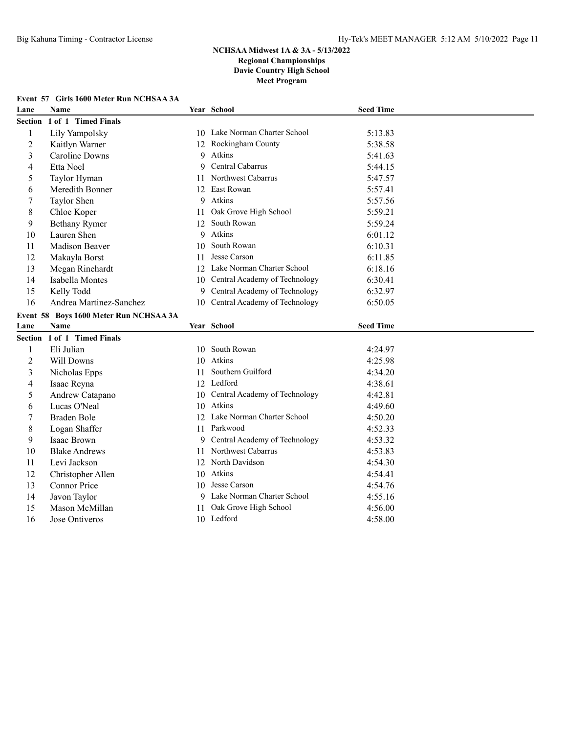# **Event 57 Girls 1600 Meter Run NCHSAA 3A**

| Lane           | Name                                   |    | Year School                         | <b>Seed Time</b> |
|----------------|----------------------------------------|----|-------------------------------------|------------------|
| Section        | 1 of 1 Timed Finals                    |    |                                     |                  |
| 1              | Lily Yampolsky                         |    | 10 Lake Norman Charter School       | 5:13.83          |
| $\overline{2}$ | Kaitlyn Warner                         |    | 12 Rockingham County                | 5:38.58          |
| 3              | <b>Caroline Downs</b>                  | 9  | Atkins                              | 5:41.63          |
| 4              | Etta Noel                              | 9  | Central Cabarrus                    | 5:44.15          |
| 5              | Taylor Hyman                           | 11 | Northwest Cabarrus                  | 5:47.57          |
| 6              | Meredith Bonner                        |    | 12 East Rowan                       | 5:57.41          |
| 7              | Taylor Shen                            | 9  | Atkins                              | 5:57.56          |
| $\,$ 8 $\,$    | Chloe Koper                            | 11 | Oak Grove High School               | 5:59.21          |
| 9              | <b>Bethany Rymer</b>                   | 12 | South Rowan                         | 5:59.24          |
| 10             | Lauren Shen                            | 9  | Atkins                              | 6:01.12          |
| 11             | Madison Beaver                         | 10 | South Rowan                         | 6:10.31          |
| 12             | Makayla Borst                          | 11 | Jesse Carson                        | 6:11.85          |
| 13             | Megan Rinehardt                        |    | 12 Lake Norman Charter School       | 6:18.16          |
| 14             | Isabella Montes                        |    | 10 Central Academy of Technology    | 6:30.41          |
| 15             | Kelly Todd                             | 9  | Central Academy of Technology       | 6:32.97          |
| 16             | Andrea Martinez-Sanchez                |    | 10 Central Academy of Technology    | 6:50.05          |
|                | Event 58 Boys 1600 Meter Run NCHSAA 3A |    |                                     |                  |
|                |                                        |    |                                     |                  |
| Lane           | Name                                   |    | Year School                         | <b>Seed Time</b> |
| Section        | 1 of 1 Timed Finals                    |    |                                     |                  |
| 1              | Eli Julian                             |    | 10 South Rowan                      | 4:24.97          |
| $\overline{c}$ | Will Downs                             |    | 10 Atkins                           | 4:25.98          |
| 3              | Nicholas Epps                          | 11 | Southern Guilford                   | 4:34.20          |
| 4              | Isaac Reyna                            |    | 12 Ledford                          | 4:38.61          |
| 5              | Andrew Catapano                        |    | 10 Central Academy of Technology    | 4:42.81          |
| 6              | Lucas O'Neal                           |    | 10 Atkins                           | 4:49.60          |
| 7              | Braden Bole                            |    | 12 Lake Norman Charter School       | 4:50.20          |
| $\,$ 8 $\,$    | Logan Shaffer                          |    | 11 Parkwood                         | 4:52.33          |
| 9              | Isaac Brown                            | 9  | Central Academy of Technology       | 4:53.32          |
| 10             | <b>Blake Andrews</b>                   | 11 | Northwest Cabarrus                  | 4:53.83          |
| 11             | Levi Jackson                           |    | 12 North Davidson                   | 4:54.30          |
| 12             | Christopher Allen                      | 10 | Atkins                              | 4:54.41          |
| 13             | Connor Price                           | 10 | Jesse Carson                        | 4:54.76          |
| 14             | Javon Taylor                           | 9  | Lake Norman Charter School          | 4:55.16          |
| 15             | Mason McMillan                         | 11 | Oak Grove High School<br>10 Ledford | 4:56.00          |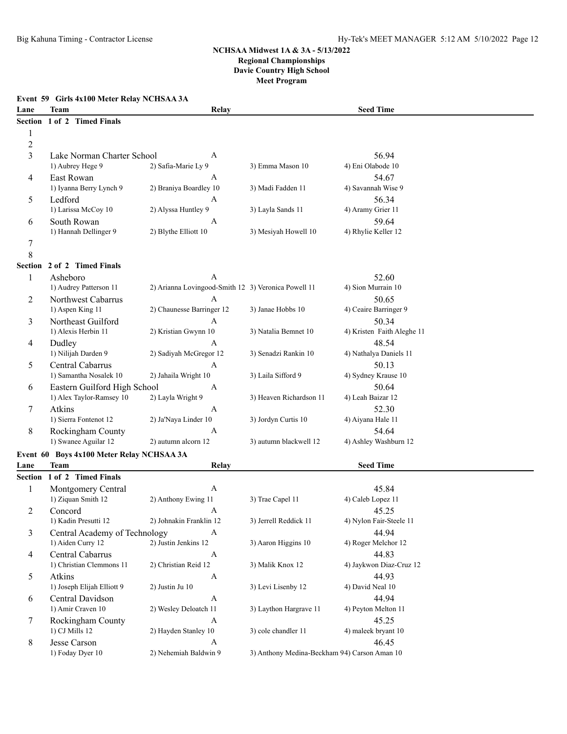### **Event 59 Girls 4x100 Meter Relay NCHSAA 3A**

| Lane           | <b>Team</b>                                       | Relay                                               |                                              | <b>Seed Time</b>             |  |
|----------------|---------------------------------------------------|-----------------------------------------------------|----------------------------------------------|------------------------------|--|
| <b>Section</b> | 1 of 2 Timed Finals                               |                                                     |                                              |                              |  |
| 1              |                                                   |                                                     |                                              |                              |  |
| $\overline{c}$ |                                                   |                                                     |                                              |                              |  |
| 3              | Lake Norman Charter School                        | A                                                   |                                              | 56.94                        |  |
|                | 1) Aubrey Hege 9                                  | 2) Safia-Marie Ly 9                                 | 3) Emma Mason 10                             | 4) Eni Olabode 10            |  |
| 4              | East Rowan                                        | A                                                   |                                              | 54.67                        |  |
|                | 1) Iyanna Berry Lynch 9                           | 2) Braniya Boardley 10                              | 3) Madi Fadden 11                            | 4) Savannah Wise 9           |  |
| 5              | Ledford                                           | А                                                   |                                              | 56.34                        |  |
|                | 1) Larissa McCoy 10                               | 2) Alyssa Huntley 9                                 | 3) Layla Sands 11                            | 4) Aramy Grier 11            |  |
| 6              | South Rowan                                       | A                                                   |                                              | 59.64                        |  |
|                | 1) Hannah Dellinger 9                             | 2) Blythe Elliott 10                                | 3) Mesiyah Howell 10                         | 4) Rhylie Keller 12          |  |
| 7              |                                                   |                                                     |                                              |                              |  |
| 8              |                                                   |                                                     |                                              |                              |  |
| Section        | 2 of 2 Timed Finals                               |                                                     |                                              |                              |  |
| 1              | Asheboro                                          | A                                                   |                                              | 52.60                        |  |
|                | 1) Audrey Patterson 11                            | 2) Arianna Lovingood-Smith 12 3) Veronica Powell 11 |                                              | 4) Sion Murrain 10           |  |
| 2              | Northwest Cabarrus                                | A                                                   |                                              | 50.65                        |  |
|                | 1) Aspen King 11                                  | 2) Chaunesse Barringer 12                           | 3) Janae Hobbs 10                            | 4) Ceaire Barringer 9        |  |
| 3              | Northeast Guilford                                | A                                                   |                                              | 50.34                        |  |
|                | 1) Alexis Herbin 11                               | 2) Kristian Gwynn 10                                | 3) Natalia Bemnet 10                         | 4) Kristen Faith Aleghe 11   |  |
| 4              | Dudley                                            | А                                                   |                                              | 48.54                        |  |
|                | 1) Nilijah Darden 9                               | 2) Sadiyah McGregor 12                              | 3) Senadzi Rankin 10                         | 4) Nathalya Daniels 11       |  |
| 5              | Central Cabarrus                                  | Α                                                   |                                              | 50.13                        |  |
|                | 1) Samantha Nosalek 10                            | 2) Jahaila Wright 10                                | 3) Laila Sifford 9                           | 4) Sydney Krause 10          |  |
| 6              | Eastern Guilford High School                      | A                                                   |                                              | 50.64                        |  |
|                | 1) Alex Taylor-Ramsey 10                          | 2) Layla Wright 9                                   | 3) Heaven Richardson 11                      | 4) Leah Baizar 12            |  |
| 7              | Atkins                                            | A                                                   |                                              | 52.30                        |  |
|                | 1) Sierra Fontenot 12                             | 2) Ja'Naya Linder 10                                | 3) Jordyn Curtis 10                          | 4) Aiyana Hale 11            |  |
| 8              | Rockingham County                                 | A                                                   |                                              | 54.64                        |  |
|                | 1) Swanee Aguilar 12                              | 2) autumn alcorn 12                                 | 3) autumn blackwell 12                       | 4) Ashley Washburn 12        |  |
|                |                                                   |                                                     |                                              |                              |  |
| Lane           | Event 60 Boys 4x100 Meter Relay NCHSAA 3A<br>Team | Relay                                               |                                              | <b>Seed Time</b>             |  |
| Section        | 1 of 2 Timed Finals                               |                                                     |                                              |                              |  |
|                |                                                   |                                                     |                                              |                              |  |
| 1              | Montgomery Central<br>1) Ziquan Smith 12          | A<br>2) Anthony Ewing 11                            | 3) Trae Capel 11                             | 45.84<br>4) Caleb Lopez 11   |  |
|                |                                                   |                                                     |                                              |                              |  |
| 2              | Concord                                           | A                                                   | 3) Jerrell Reddick 11                        | 45.25                        |  |
|                | 1) Kadin Presutti 12                              | 2) Johnakin Franklin 12                             |                                              | 4) Nylon Fair-Steele 11      |  |
| 3              | Central Academy of Technology                     | A<br>2) Justin Jenkins 12                           |                                              | 44.94<br>4) Roger Melchor 12 |  |
|                | 1) Aiden Curry 12                                 |                                                     | 3) Aaron Higgins 10                          |                              |  |
| 4              | Central Cabarrus                                  | $\mathbf{A}$                                        |                                              | 44.83                        |  |
|                | 1) Christian Clemmons 11                          | 2) Christian Reid 12                                | 3) Malik Knox 12                             | 4) Jaykwon Diaz-Cruz 12      |  |
| 5              | Atkins                                            | $\boldsymbol{A}$                                    |                                              | 44.93                        |  |
|                | 1) Joseph Elijah Elliott 9                        | 2) Justin Ju 10                                     | 3) Levi Lisenby 12                           | 4) David Neal 10             |  |
| 6              | Central Davidson                                  | $\mathbf{A}$                                        |                                              | 44.94                        |  |
|                | 1) Amir Craven 10                                 | 2) Wesley Deloatch 11                               | 3) Laython Hargrave 11                       | 4) Peyton Melton 11          |  |
| 7              | Rockingham County                                 | $\mathbf{A}$                                        |                                              | 45.25                        |  |
|                | 1) CJ Mills 12                                    | 2) Hayden Stanley 10                                | 3) cole chandler 11                          | 4) maleek bryant 10          |  |
| 8              | Jesse Carson                                      | $\boldsymbol{A}$                                    |                                              | 46.45                        |  |
|                | 1) Foday Dyer 10                                  | 2) Nehemiah Baldwin 9                               | 3) Anthony Medina-Beckham 94) Carson Aman 10 |                              |  |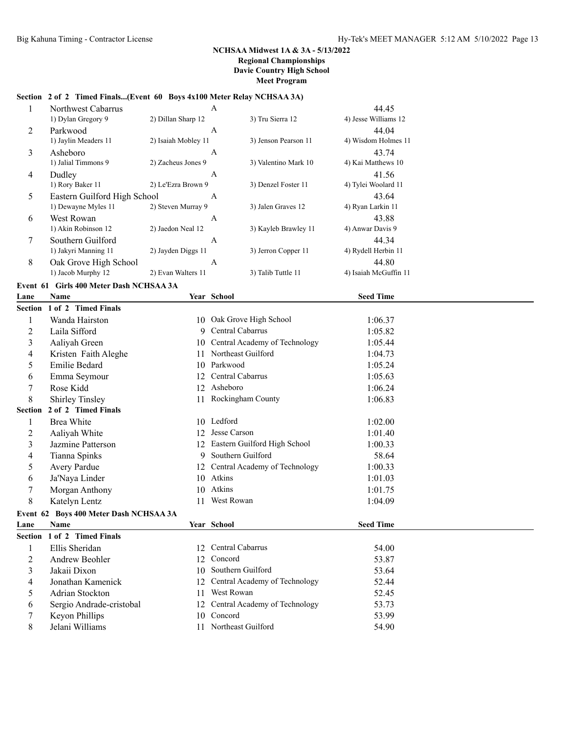## **Section 2 of 2 Timed Finals...(Event 60 Boys 4x100 Meter Relay NCHSAA 3A)**

|   | Northwest Cabarrus           | $\overline{A}$      |                      | 44.45                 |  |
|---|------------------------------|---------------------|----------------------|-----------------------|--|
|   | 1) Dylan Gregory 9           | 2) Dillan Sharp 12  | 3) Tru Sierra 12     | 4) Jesse Williams 12  |  |
| 2 | Parkwood                     | A                   |                      | 44.04                 |  |
|   | 1) Jaylin Meaders 11         | 2) Isaiah Mobley 11 | 3) Jenson Pearson 11 | 4) Wisdom Holmes 11   |  |
| 3 | Asheboro                     | A                   |                      | 43.74                 |  |
|   | 1) Jalial Timmons 9          | 2) Zacheus Jones 9  | 3) Valentino Mark 10 | 4) Kai Matthews 10    |  |
| 4 | Dudley                       | A                   |                      | 41.56                 |  |
|   | 1) Rory Baker 11             | 2) Le'Ezra Brown 9  | 3) Denzel Foster 11  | 4) Tylei Woolard 11   |  |
| 5 | Eastern Guilford High School | A                   |                      | 43.64                 |  |
|   | 1) Dewayne Myles 11          | 2) Steven Murray 9  | 3) Jalen Graves 12   | 4) Ryan Larkin 11     |  |
| 6 | West Rowan                   | A                   |                      | 43.88                 |  |
|   | 1) Akin Robinson 12          | 2) Jaedon Neal 12   | 3) Kayleb Brawley 11 | 4) Anwar Davis 9      |  |
| 7 | Southern Guilford            | A                   |                      | 44.34                 |  |
|   | 1) Jakyri Manning 11         | 2) Jayden Diggs 11  | 3) Jerron Copper 11  | 4) Rydell Herbin 11   |  |
| 8 | Oak Grove High School        | A                   |                      | 44.80                 |  |
|   | 1) Jacob Murphy 12           | 2) Evan Walters 11  | 3) Talib Tuttle 11   | 4) Isaiah McGuffin 11 |  |
|   |                              |                     |                      |                       |  |

**Event 61 Girls 400 Meter Dash NCHSAA 3A**

| Lane           | <b>Name</b>                            |    | Year School                   | <b>Seed Time</b> |
|----------------|----------------------------------------|----|-------------------------------|------------------|
|                | Section 1 of 2 Timed Finals            |    |                               |                  |
| 1              | Wanda Hairston                         |    | 10 Oak Grove High School      | 1:06.37          |
| 2              | Laila Sifford                          | 9  | Central Cabarrus              | 1:05.82          |
| 3              | Aaliyah Green                          | 10 | Central Academy of Technology | 1:05.44          |
| 4              | Kristen Faith Aleghe                   | 11 | Northeast Guilford            | 1:04.73          |
| 5              | <b>Emilie Bedard</b>                   | 10 | Parkwood                      | 1:05.24          |
| 6              | Emma Seymour                           | 12 | Central Cabarrus              | 1:05.63          |
| 7              | Rose Kidd                              | 12 | Asheboro                      | 1:06.24          |
| 8              | <b>Shirley Tinsley</b>                 | 11 | Rockingham County             | 1:06.83          |
| <b>Section</b> | 2 of 2 Timed Finals                    |    |                               |                  |
| 1              | <b>Brea White</b>                      |    | 10 Ledford                    | 1:02.00          |
| 2              | Aaliyah White                          | 12 | Jesse Carson                  | 1:01.40          |
| 3              | Jazmine Patterson                      | 12 | Eastern Guilford High School  | 1:00.33          |
| 4              | Tianna Spinks                          | 9  | Southern Guilford             | 58.64            |
| 5              | Avery Pardue                           | 12 | Central Academy of Technology | 1:00.33          |
| 6              | Ja'Naya Linder                         | 10 | Atkins                        | 1:01.03          |
| 7              | Morgan Anthony                         | 10 | Atkins                        | 1:01.75          |
| 8              | Katelyn Lentz                          | 11 | West Rowan                    | 1:04.09          |
|                | Event 62 Boys 400 Meter Dash NCHSAA 3A |    |                               |                  |
| Lane           | <b>Name</b>                            |    | Year School                   | <b>Seed Time</b> |
|                | Section 1 of 2 Timed Finals            |    |                               |                  |
| 1              | Ellis Sheridan                         | 12 | Central Cabarrus              | 54.00            |
| 2              | Andrew Beohler                         | 12 | Concord                       | 53.87            |
| 3              | Jakaii Dixon                           | 10 | Southern Guilford             | 53.64            |
| 4              | Jonathan Kamenick                      | 12 | Central Academy of Technology | 52.44            |
| 5              | Adrian Stockton                        | 11 | West Rowan                    | 52.45            |
| 6              | Sergio Andrade-cristobal               | 12 | Central Academy of Technology | 53.73            |
| 7              | Keyon Phillips                         | 10 | Concord                       | 53.99            |
| 8              | Jelani Williams                        | 11 | Northeast Guilford            | 54.90            |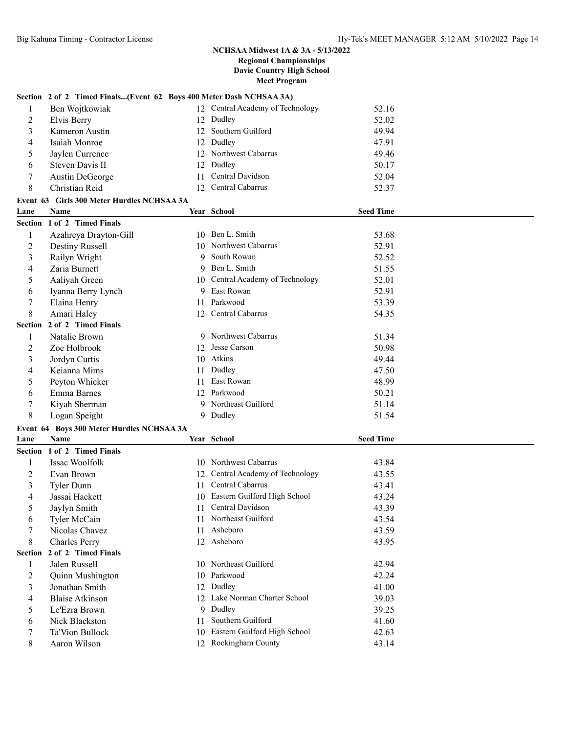|                | Section 2 of 2 Timed Finals(Event 62 Boys 400 Meter Dash NCHSAA 3A) |                 |                                                        |                  |  |
|----------------|---------------------------------------------------------------------|-----------------|--------------------------------------------------------|------------------|--|
| 1              | Ben Wojtkowiak                                                      |                 | 12 Central Academy of Technology                       | 52.16            |  |
| 2              | Elvis Berry                                                         |                 | 12 Dudley                                              | 52.02            |  |
|                |                                                                     |                 | 12 Southern Guilford                                   |                  |  |
| 3              | Kameron Austin<br>Isaiah Monroe                                     |                 |                                                        | 49.94            |  |
| 4              |                                                                     |                 | 12 Dudley                                              | 47.91            |  |
| 5              | Jaylen Currence                                                     | 12              | Northwest Cabarrus                                     | 49.46            |  |
| 6              | Steven Davis II                                                     | 12              | Dudley                                                 | 50.17            |  |
| 7              | Austin DeGeorge                                                     | 11              | Central Davidson                                       | 52.04            |  |
| 8              | Christian Reid                                                      | 12 <sub>1</sub> | Central Cabarrus                                       | 52.37            |  |
|                | Event 63 Girls 300 Meter Hurdles NCHSAA 3A                          |                 |                                                        |                  |  |
| Lane           | <b>Name</b>                                                         |                 | Year School                                            | <b>Seed Time</b> |  |
|                | Section 1 of 2 Timed Finals                                         |                 |                                                        |                  |  |
| 1              | Azahreya Drayton-Gill                                               |                 | 10 Ben L. Smith                                        | 53.68            |  |
| $\overline{c}$ | <b>Destiny Russell</b>                                              | 10              | Northwest Cabarrus                                     | 52.91            |  |
| 3              | Railyn Wright                                                       | 9               | South Rowan                                            | 52.52            |  |
| 4              | Zaria Burnett                                                       | 9               | Ben L. Smith                                           | 51.55            |  |
| 5              | Aaliyah Green                                                       | 10              | Central Academy of Technology                          | 52.01            |  |
| 6              | Iyanna Berry Lynch                                                  | 9.              | East Rowan                                             | 52.91            |  |
| 7              | Elaina Henry                                                        | 11              | Parkwood                                               | 53.39            |  |
| 8              | Amari Haley                                                         |                 | 12 Central Cabarrus                                    | 54.35            |  |
|                | Section 2 of 2 Timed Finals                                         |                 |                                                        |                  |  |
| 1              | Natalie Brown                                                       |                 | 9 Northwest Cabarrus                                   | 51.34            |  |
| $\overline{c}$ | Zoe Holbrook                                                        | 12              | Jesse Carson                                           | 50.98            |  |
| 3              | Jordyn Curtis                                                       |                 | 10 Atkins                                              | 49.44            |  |
| 4              | Keianna Mims                                                        | 11.             | Dudley                                                 | 47.50            |  |
| 5              | Peyton Whicker                                                      | 11              | East Rowan                                             | 48.99            |  |
| 6              | Emma Barnes                                                         |                 | 12 Parkwood                                            | 50.21            |  |
| 7              | Kiyah Sherman                                                       |                 | 9 Northeast Guilford                                   | 51.14            |  |
| 8              | Logan Speight                                                       |                 | 9 Dudley                                               | 51.54            |  |
|                | Event 64 Boys 300 Meter Hurdles NCHSAA 3A                           |                 |                                                        |                  |  |
| Lane           | Name                                                                |                 | Year School                                            | <b>Seed Time</b> |  |
|                | Section 1 of 2 Timed Finals                                         |                 |                                                        |                  |  |
| 1              | Issac Woolfolk                                                      |                 | 10 Northwest Cabarrus                                  | 43.84            |  |
|                | Evan Brown                                                          |                 | Central Academy of Technology                          |                  |  |
| 2              |                                                                     | 12              | 11 Central Cabarrus                                    | 43.55<br>43.41   |  |
| 3              | Tyler Dunn                                                          |                 |                                                        |                  |  |
| 4              | Jassai Hackett                                                      |                 | 10 Eastern Guilford High School<br>11 Central Davidson | 43.24            |  |
| 5              | Jaylyn Smith                                                        |                 |                                                        | 43.39            |  |
| 6              | Tyler McCain                                                        | 11.             | Northeast Guilford                                     | 43.54            |  |
| 7              | Nicolas Chavez                                                      |                 | 11 Asheboro                                            | 43.59            |  |
| 8              | Charles Perry                                                       |                 | 12 Asheboro                                            | 43.95            |  |
| <b>Section</b> | 2 of 2 Timed Finals                                                 |                 |                                                        |                  |  |
| 1              | Jalen Russell                                                       |                 | 10 Northeast Guilford                                  | 42.94            |  |
| 2              | Quinn Mushington                                                    |                 | 10 Parkwood                                            | 42.24            |  |
| 3              | Jonathan Smith                                                      |                 | 12 Dudley                                              | 41.00            |  |
| 4              | <b>Blaise Atkinson</b>                                              |                 | 12 Lake Norman Charter School                          | 39.03            |  |
| 5              | Le'Ezra Brown                                                       | 9               | Dudley                                                 | 39.25            |  |
| 6              | Nick Blackston                                                      | 11              | Southern Guilford                                      | 41.60            |  |
| 7              | Ta'Vion Bullock                                                     | 10              | Eastern Guilford High School                           | 42.63            |  |
| 8              | Aaron Wilson                                                        |                 | 12 Rockingham County                                   | 43.14            |  |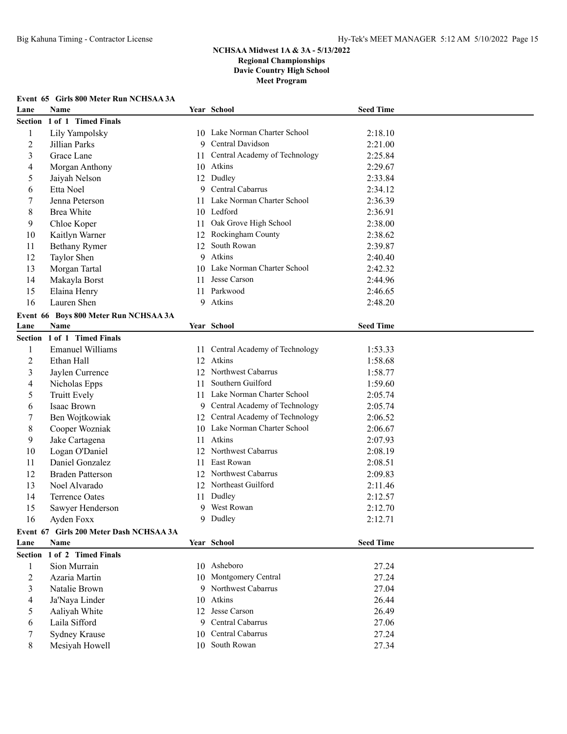# **Event 65 Girls 800 Meter Run NCHSAA 3A**

| Lane           | <b>Name</b>                             |    | Year School                      | <b>Seed Time</b> |  |
|----------------|-----------------------------------------|----|----------------------------------|------------------|--|
| Section        | 1 of 1 Timed Finals                     |    |                                  |                  |  |
| $\mathbf{1}$   | Lily Yampolsky                          |    | 10 Lake Norman Charter School    | 2:18.10          |  |
| $\overline{2}$ | Jillian Parks                           |    | 9 Central Davidson               | 2:21.00          |  |
| 3              | Grace Lane                              |    | 11 Central Academy of Technology | 2:25.84          |  |
| 4              | Morgan Anthony                          |    | 10 Atkins                        | 2:29.67          |  |
| 5              | Jaiyah Nelson                           |    | 12 Dudley                        | 2:33.84          |  |
| 6              | Etta Noel                               |    | 9 Central Cabarrus               | 2:34.12          |  |
| 7              | Jenna Peterson                          | 11 | Lake Norman Charter School       | 2:36.39          |  |
| 8              | <b>Brea White</b>                       |    | 10 Ledford                       | 2:36.91          |  |
| 9              | Chloe Koper                             | 11 | Oak Grove High School            | 2:38.00          |  |
| 10             | Kaitlyn Warner                          | 12 | Rockingham County                | 2:38.62          |  |
| 11             | <b>Bethany Rymer</b>                    | 12 | South Rowan                      | 2:39.87          |  |
| 12             | Taylor Shen                             | 9  | Atkins                           | 2:40.40          |  |
| 13             | Morgan Tartal                           |    | 10 Lake Norman Charter School    | 2:42.32          |  |
| 14             | Makayla Borst                           | 11 | Jesse Carson                     | 2:44.96          |  |
| 15             | Elaina Henry                            |    | 11 Parkwood                      | 2:46.65          |  |
| 16             | Lauren Shen                             |    | 9 Atkins                         | 2:48.20          |  |
|                | Event 66 Boys 800 Meter Run NCHSAA 3A   |    |                                  |                  |  |
| Lane           | Name                                    |    | Year School                      | <b>Seed Time</b> |  |
|                | Section 1 of 1 Timed Finals             |    |                                  |                  |  |
| 1              | <b>Emanuel Williams</b>                 | 11 | Central Academy of Technology    | 1:53.33          |  |
| $\overline{2}$ | Ethan Hall                              |    | 12 Atkins                        | 1:58.68          |  |
| 3              | Jaylen Currence                         |    | 12 Northwest Cabarrus            | 1:58.77          |  |
| 4              | Nicholas Epps                           | 11 | Southern Guilford                | 1:59.60          |  |
| 5              | Truitt Evely                            |    | 11 Lake Norman Charter School    | 2:05.74          |  |
| 6              | Isaac Brown                             |    | 9 Central Academy of Technology  | 2:05.74          |  |
| 7              | Ben Wojtkowiak                          |    | 12 Central Academy of Technology | 2:06.52          |  |
| 8              | Cooper Wozniak                          |    | 10 Lake Norman Charter School    | 2:06.67          |  |
| 9              | Jake Cartagena                          | 11 | Atkins                           | 2:07.93          |  |
| 10             | Logan O'Daniel                          | 12 | Northwest Cabarrus               | 2:08.19          |  |
| 11             | Daniel Gonzalez                         | 11 | East Rowan                       | 2:08.51          |  |
| 12             | <b>Braden Patterson</b>                 | 12 | Northwest Cabarrus               | 2:09.83          |  |
| 13             | Noel Alvarado                           |    | 12 Northeast Guilford            | 2:11.46          |  |
| 14             | Terrence Oates                          |    | 11 Dudley                        | 2:12.57          |  |
| 15             | Sawyer Henderson                        |    | 9 West Rowan                     | 2:12.70          |  |
| 16             | Ayden Foxx                              |    | 9 Dudley                         | 2:12.71          |  |
|                | Event 67 Girls 200 Meter Dash NCHSAA 3A |    |                                  |                  |  |
| Lane           | <b>Name</b>                             |    | Year School                      | <b>Seed Time</b> |  |
| <b>Section</b> | 1 of 2 Timed Finals                     |    |                                  |                  |  |
| 1              | Sion Murrain                            |    | 10 Asheboro                      | 27.24            |  |
| $\overline{2}$ | Azaria Martin                           |    | 10 Montgomery Central            | 27.24            |  |
| 3              | Natalie Brown                           |    | 9 Northwest Cabarrus             | 27.04            |  |
| 4              | Ja'Naya Linder                          |    | 10 Atkins                        | 26.44            |  |
| 5              | Aaliyah White                           |    | 12 Jesse Carson                  | 26.49            |  |
| 6              | Laila Sifford                           |    | 9 Central Cabarrus               | 27.06            |  |
| 7              | Sydney Krause                           |    | 10 Central Cabarrus              | 27.24            |  |
| 8              | Mesiyah Howell                          |    | 10 South Rowan                   | 27.34            |  |
|                |                                         |    |                                  |                  |  |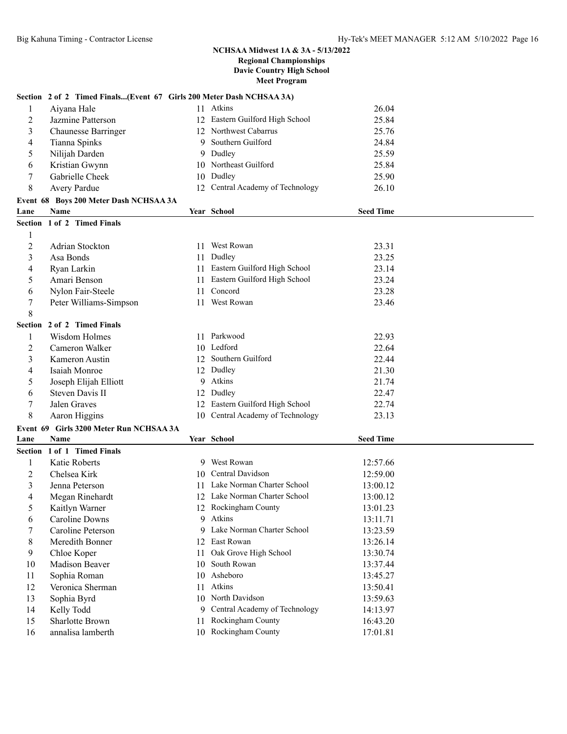## **Section 2 of 2 Timed Finals...(Event 67 Girls 200 Meter Dash NCHSAA 3A)**

| 1                | Aiyana Hale                             |     | 11 Atkins                        | 26.04            |  |
|------------------|-----------------------------------------|-----|----------------------------------|------------------|--|
| 2                | Jazmine Patterson                       |     | 12 Eastern Guilford High School  | 25.84            |  |
| 3                | <b>Chaunesse Barringer</b>              |     | 12 Northwest Cabarrus            | 25.76            |  |
| 4                | Tianna Spinks                           | 9   | Southern Guilford                | 24.84            |  |
| 5                | Nilijah Darden                          | 9   | Dudley                           | 25.59            |  |
| 6                | Kristian Gwynn                          |     | 10 Northeast Guilford            | 25.84            |  |
| $\boldsymbol{7}$ | Gabrielle Cheek                         |     | 10 Dudley                        | 25.90            |  |
| 8                | Avery Pardue                            |     | 12 Central Academy of Technology | 26.10            |  |
|                  | Event 68 Boys 200 Meter Dash NCHSAA 3A  |     |                                  |                  |  |
| Lane             | Name                                    |     | Year School                      | <b>Seed Time</b> |  |
|                  | Section 1 of 2 Timed Finals             |     |                                  |                  |  |
| $\mathbf{1}$     |                                         |     |                                  |                  |  |
| $\overline{2}$   | <b>Adrian Stockton</b>                  | 11. | West Rowan                       | 23.31            |  |
| 3                | Asa Bonds                               | 11  | Dudley                           | 23.25            |  |
| 4                | Ryan Larkin                             |     | 11 Eastern Guilford High School  | 23.14            |  |
| 5                | Amari Benson                            | 11  | Eastern Guilford High School     | 23.24            |  |
| 6                | Nylon Fair-Steele                       | 11  | Concord                          | 23.28            |  |
| 7                | Peter Williams-Simpson                  | 11  | West Rowan                       | 23.46            |  |
| 8                |                                         |     |                                  |                  |  |
|                  | Section 2 of 2 Timed Finals             |     |                                  |                  |  |
| 1                | Wisdom Holmes                           |     | 11 Parkwood                      | 22.93            |  |
| 2                | Cameron Walker                          |     | 10 Ledford                       | 22.64            |  |
| 3                | Kameron Austin                          |     | 12 Southern Guilford             | 22.44            |  |
| 4                | Isaiah Monroe                           | 12  | Dudley                           | 21.30            |  |
| 5                | Joseph Elijah Elliott                   | 9   | Atkins                           | 21.74            |  |
| 6                | Steven Davis II                         | 12  | Dudley                           | 22.47            |  |
| 7                | Jalen Graves                            | 12  | Eastern Guilford High School     | 22.74            |  |
| 8                | Aaron Higgins                           |     | 10 Central Academy of Technology | 23.13            |  |
|                  | Event 69 Girls 3200 Meter Run NCHSAA 3A |     |                                  |                  |  |
| Lane             | <b>Name</b>                             |     | Year School                      | <b>Seed Time</b> |  |
|                  | Section 1 of 1 Timed Finals             |     |                                  |                  |  |
| 1                | Katie Roberts                           |     | 9 West Rowan                     | 12:57.66         |  |
| $\overline{2}$   | Chelsea Kirk                            | 10  | Central Davidson                 | 12:59.00         |  |
| 3                | Jenna Peterson                          |     | 11 Lake Norman Charter School    | 13:00.12         |  |
| 4                | Megan Rinehardt                         |     | 12 Lake Norman Charter School    | 13:00.12         |  |
| 5                | Kaitlyn Warner                          |     | 12 Rockingham County             | 13:01.23         |  |
| 6                | <b>Caroline Downs</b>                   | 9.  | Atkins                           | 13:11.71         |  |
| 7                | Caroline Peterson                       | 9   | Lake Norman Charter School       | 13:23.59         |  |
| 8                | Meredith Bonner                         |     | 12 East Rowan                    | 13:26.14         |  |
| 9                | Chloe Koper                             | 11  | Oak Grove High School            | 13:30.74         |  |
| 10               | Madison Beaver                          | 10  | South Rowan                      | 13:37.44         |  |
| 11               | Sophia Roman                            | 10  | Asheboro                         | 13:45.27         |  |
| 12               | Veronica Sherman                        | 11  | Atkins                           | 13:50.41         |  |
| 13               | Sophia Byrd                             | 10  | North Davidson                   | 13:59.63         |  |
| 14               | Kelly Todd                              | 9   | Central Academy of Technology    | 14:13.97         |  |
| 15               | Sharlotte Brown                         | 11  | Rockingham County                | 16:43.20         |  |
| 16               | annalisa lamberth                       |     | 10 Rockingham County             | 17:01.81         |  |
|                  |                                         |     |                                  |                  |  |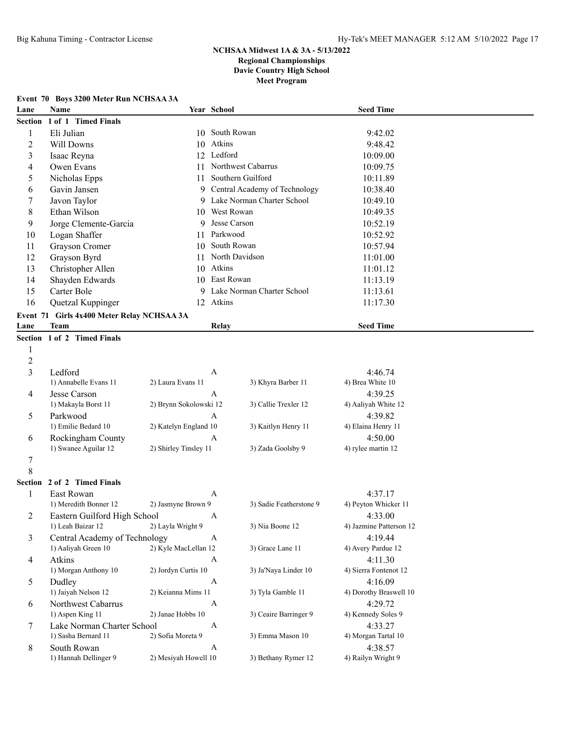### **Event 70 Boys 3200 Meter Run NCHSAA 3A**

| Lane           | Name                                              |                        | Year School      |                                 | <b>Seed Time</b>                   |  |
|----------------|---------------------------------------------------|------------------------|------------------|---------------------------------|------------------------------------|--|
| <b>Section</b> | 1 of 1 Timed Finals                               |                        |                  |                                 |                                    |  |
| 1              | Eli Julian                                        |                        | 10 South Rowan   |                                 | 9:42.02                            |  |
| $\overline{c}$ | Will Downs                                        |                        | 10 Atkins        |                                 | 9:48.42                            |  |
| 3              | Isaac Reyna                                       |                        | 12 Ledford       |                                 | 10:09.00                           |  |
| 4              | Owen Evans                                        |                        |                  | 11 Northwest Cabarrus           | 10:09.75                           |  |
| 5              | Nicholas Epps                                     | 11                     |                  | Southern Guilford               | 10:11.89                           |  |
| 6              | Gavin Jansen                                      |                        |                  | 9 Central Academy of Technology | 10:38.40                           |  |
| 7              | Javon Taylor                                      |                        |                  | 9 Lake Norman Charter School    | 10:49.10                           |  |
| 8              | Ethan Wilson                                      | 10                     | West Rowan       |                                 | 10:49.35                           |  |
| 9              | Jorge Clemente-Garcia                             | 9                      | Jesse Carson     |                                 | 10:52.19                           |  |
| 10             | Logan Shaffer                                     | 11                     | Parkwood         |                                 | 10:52.92                           |  |
| 11             | Grayson Cromer                                    |                        | 10 South Rowan   |                                 | 10:57.94                           |  |
| 12             | Grayson Byrd                                      |                        |                  | 11 North Davidson               | 11:01.00                           |  |
| 13             | Christopher Allen                                 |                        | 10 Atkins        |                                 | 11:01.12                           |  |
| 14             | Shayden Edwards                                   |                        | 10 East Rowan    |                                 | 11:13.19                           |  |
| 15             | Carter Bole                                       | 9                      |                  | Lake Norman Charter School      | 11:13.61                           |  |
| 16             | Quetzal Kuppinger                                 |                        | 12 Atkins        |                                 | 11:17.30                           |  |
|                | Event 71 Girls 4x400 Meter Relay NCHSAA 3A        |                        |                  |                                 |                                    |  |
| Lane           | Team                                              |                        | Relay            |                                 | <b>Seed Time</b>                   |  |
|                | Section 1 of 2 Timed Finals                       |                        |                  |                                 |                                    |  |
| 1              |                                                   |                        |                  |                                 |                                    |  |
| $\overline{c}$ |                                                   |                        |                  |                                 |                                    |  |
| $\overline{3}$ | Ledford                                           |                        | $\boldsymbol{A}$ |                                 | 4:46.74                            |  |
|                | 1) Annabelle Evans 11                             | 2) Laura Evans 11      |                  | 3) Khyra Barber 11              | 4) Brea White 10                   |  |
| 4              | Jesse Carson                                      |                        | $\mathbf{A}$     |                                 | 4:39.25                            |  |
|                | 1) Makayla Borst 11                               | 2) Brynn Sokolowski 12 |                  | 3) Callie Trexler 12            | 4) Aaliyah White 12                |  |
| 5              | Parkwood                                          |                        | A                |                                 | 4:39.82                            |  |
|                | 1) Emilie Bedard 10                               | 2) Katelyn England 10  |                  | 3) Kaitlyn Henry 11             | 4) Elaina Henry 11                 |  |
| 6              | Rockingham County                                 |                        | A                |                                 | 4:50.00                            |  |
|                | 1) Swanee Aguilar 12                              | 2) Shirley Tinsley 11  |                  | 3) Zada Goolsby 9               | 4) rylee martin 12                 |  |
| 7              |                                                   |                        |                  |                                 |                                    |  |
| 8              |                                                   |                        |                  |                                 |                                    |  |
|                | Section 2 of 2 Timed Finals                       |                        |                  |                                 |                                    |  |
| 1              | East Rowan<br>1) Meredith Bonner 12               |                        | A                |                                 | 4:37.17                            |  |
|                |                                                   | 2) Jasmyne Brown 9     |                  | 3) Sadie Featherstone 9         | 4) Peyton Whicker 11               |  |
|                | Eastern Guilford High School<br>1) Leah Baizar 12 | 2) Layla Wright 9      | A                | 3) Nia Boone 12                 | 4:33.00<br>4) Jazmine Patterson 12 |  |
| 3              | Central Academy of Technology                     |                        | $\boldsymbol{A}$ |                                 | 4:19.44                            |  |
|                | 1) Aaliyah Green 10                               | 2) Kyle MacLellan 12   |                  | 3) Grace Lane 11                | 4) Avery Pardue 12                 |  |
| 4              | Atkins                                            |                        | A                |                                 | 4:11.30                            |  |
|                | 1) Morgan Anthony 10                              | 2) Jordyn Curtis 10    |                  | 3) Ja'Naya Linder 10            | 4) Sierra Fontenot 12              |  |
| 5              | Dudley                                            |                        | A                |                                 | 4:16.09                            |  |
|                | 1) Jaiyah Nelson 12                               | 2) Keianna Mims 11     |                  | 3) Tyla Gamble 11               | 4) Dorothy Braswell 10             |  |
| 6              | Northwest Cabarrus                                |                        | $\boldsymbol{A}$ |                                 | 4:29.72                            |  |
|                | 1) Aspen King 11                                  | 2) Janae Hobbs 10      |                  | 3) Ceaire Barringer 9           | 4) Kennedy Soles 9                 |  |
| 7              | Lake Norman Charter School                        |                        | $\boldsymbol{A}$ |                                 | 4:33.27                            |  |
|                | 1) Sasha Bernard 11                               | 2) Sofia Moreta 9      |                  | 3) Emma Mason 10                | 4) Morgan Tartal 10                |  |
| 8              | South Rowan                                       |                        | A                |                                 | 4:38.57                            |  |
|                | 1) Hannah Dellinger 9                             | 2) Mesiyah Howell 10   |                  | 3) Bethany Rymer 12             | 4) Railyn Wright 9                 |  |
|                |                                                   |                        |                  |                                 |                                    |  |